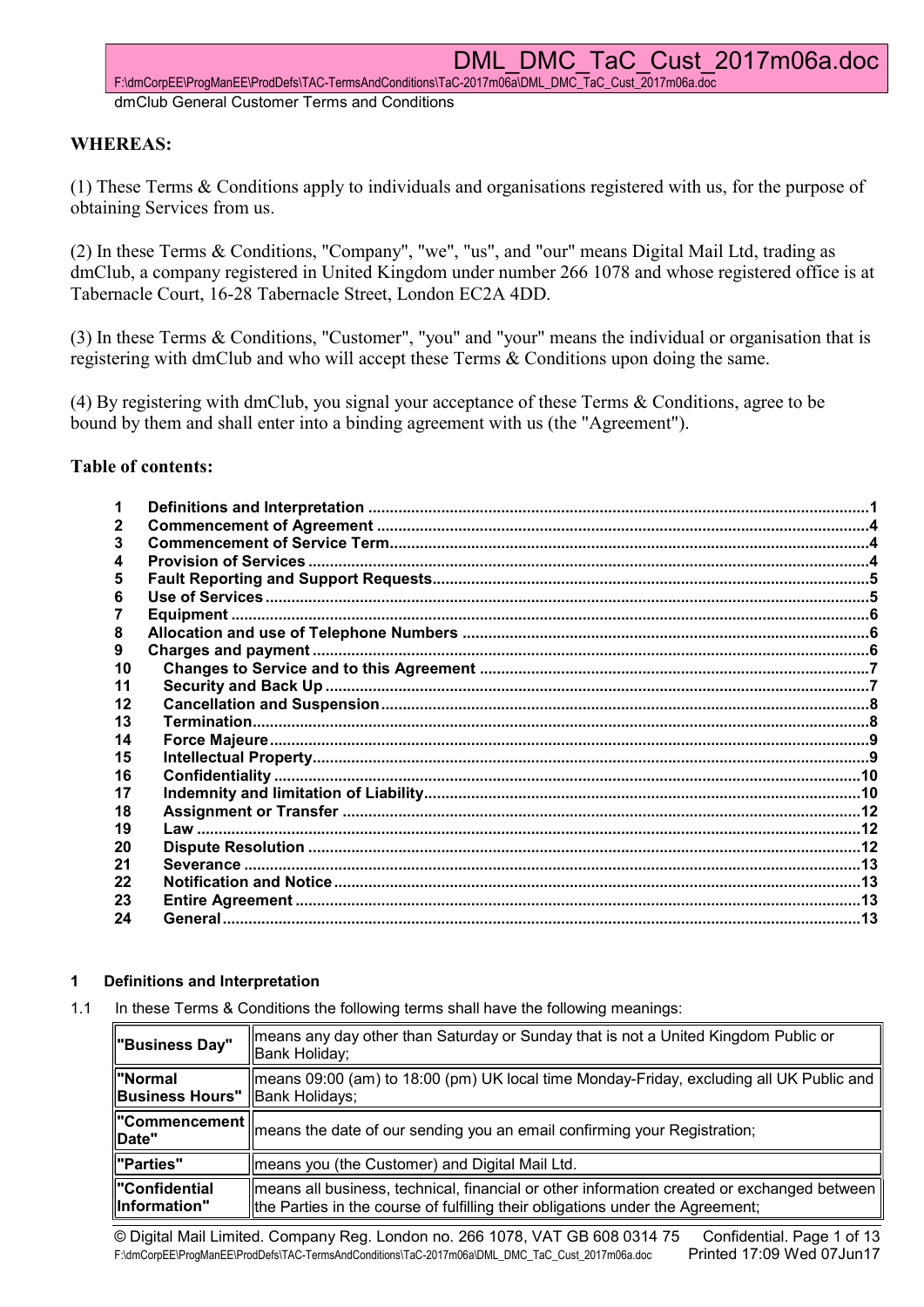F:\dmCorpEE\ProgManEE\ProdDefs\TAC-TermsAndConditions\TaC-2017m06a\DML\_DMC\_TaC\_Cust\_2017m06a.doc dmClub General Customer Terms and Conditions

# WHEREAS:

(1) These Terms & Conditions apply to individuals and organisations registered with us, for the purpose of obtaining Services from us.

(2) In these Terms & Conditions, "Company", "we", "us", and "our" means Digital Mail Ltd, trading as dmClub, a company registered in United Kingdom under number 266 1078 and whose registered office is at Tabernacle Court, 16-28 Tabernacle Street, London EC2A 4DD.

(3) In these Terms & Conditions, "Customer", "you" and "your" means the individual or organisation that is registering with dmClub and who will accept these Terms & Conditions upon doing the same.

(4) By registering with dmClub, you signal your acceptance of these Terms & Conditions, agree to be bound by them and shall enter into a binding agreement with us (the "Agreement").

# Table of contents:

## 1 Definitions and Interpretation

1.1 In these Terms & Conditions the following terms shall have the following meanings:

| "Business Day"                                     | means any day other than Saturday or Sunday that is not a United Kingdom Public or<br>Bank Holiday;                                                                                      |
|----------------------------------------------------|------------------------------------------------------------------------------------------------------------------------------------------------------------------------------------------|
| ∥"Normal<br><b>Business Hours"</b>  Bank Holidays; | means 09:00 (am) to 18:00 (pm) UK local time Monday-Friday, excluding all UK Public and                                                                                                  |
|                                                    | $\left\  \frac{1}{2} \right\ $ Commencement $\left\ $ means the date of our sending you an email confirming your Registration;                                                           |
| "Parties"                                          | means you (the Customer) and Digital Mail Ltd.                                                                                                                                           |
| "Confidential<br>Information"                      | $\parallel$ means all business, technical, financial or other information created or exchanged between<br>the Parties in the course of fulfilling their obligations under the Agreement; |

© Digital Mail Limited. Company Reg. London no. 266 1078, VAT GB 608 0314 75 Confidential. Page 1 of 13 F:\dmCorpEE\ProgManEE\ProdDefs\TAC-TermsAndConditions\TaC-2017m06a\DML\_DMC\_TaC\_Cust\_2017m06a.doc Printed 17:09 Wed 07Jun17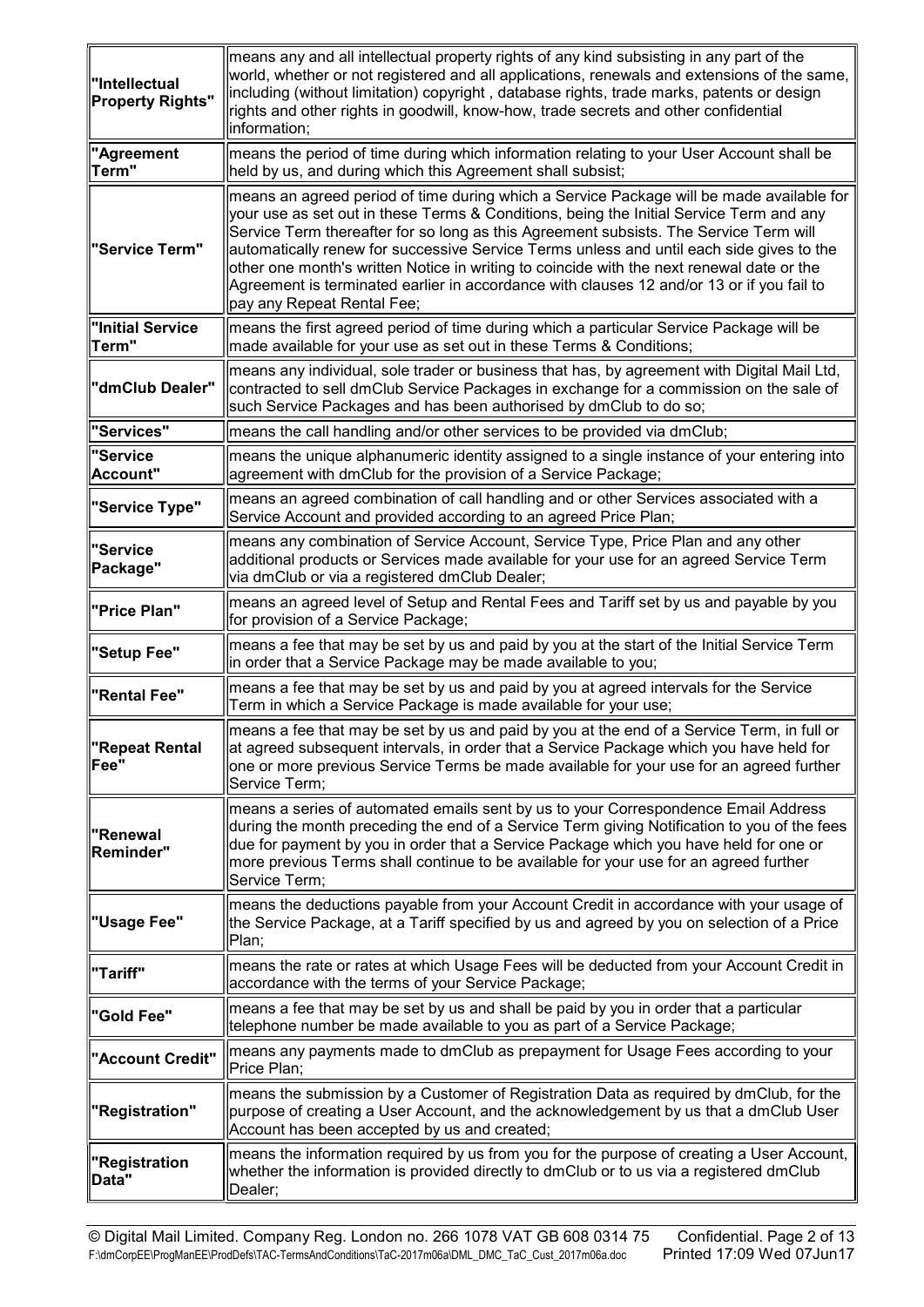| "Intellectual<br><b>Property Rights"</b> | means any and all intellectual property rights of any kind subsisting in any part of the<br>world, whether or not registered and all applications, renewals and extensions of the same,<br>including (without limitation) copyright, database rights, trade marks, patents or design<br>rights and other rights in goodwill, know-how, trade secrets and other confidential<br>information;                                                                                                                                                                                                      |
|------------------------------------------|--------------------------------------------------------------------------------------------------------------------------------------------------------------------------------------------------------------------------------------------------------------------------------------------------------------------------------------------------------------------------------------------------------------------------------------------------------------------------------------------------------------------------------------------------------------------------------------------------|
| "Agreement<br>Term"                      | means the period of time during which information relating to your User Account shall be<br>held by us, and during which this Agreement shall subsist;                                                                                                                                                                                                                                                                                                                                                                                                                                           |
| "Service Term"                           | means an agreed period of time during which a Service Package will be made available for<br>your use as set out in these Terms & Conditions, being the Initial Service Term and any<br>Service Term thereafter for so long as this Agreement subsists. The Service Term will<br>automatically renew for successive Service Terms unless and until each side gives to the<br>other one month's written Notice in writing to coincide with the next renewal date or the<br>Agreement is terminated earlier in accordance with clauses 12 and/or 13 or if you fail to<br>pay any Repeat Rental Fee; |
| "Initial Service<br>Term"                | means the first agreed period of time during which a particular Service Package will be<br>made available for your use as set out in these Terms & Conditions;                                                                                                                                                                                                                                                                                                                                                                                                                                   |
| "dmClub Dealer"                          | means any individual, sole trader or business that has, by agreement with Digital Mail Ltd,<br>contracted to sell dmClub Service Packages in exchange for a commission on the sale of<br>such Service Packages and has been authorised by dmClub to do so;                                                                                                                                                                                                                                                                                                                                       |
| "Services"                               | means the call handling and/or other services to be provided via dmClub;                                                                                                                                                                                                                                                                                                                                                                                                                                                                                                                         |
| "Service<br>Account"                     | means the unique alphanumeric identity assigned to a single instance of your entering into<br>agreement with dmClub for the provision of a Service Package;                                                                                                                                                                                                                                                                                                                                                                                                                                      |
| "Service Type"                           | means an agreed combination of call handling and or other Services associated with a<br>Service Account and provided according to an agreed Price Plan;                                                                                                                                                                                                                                                                                                                                                                                                                                          |
| "Service<br>Package"                     | means any combination of Service Account, Service Type, Price Plan and any other<br>additional products or Services made available for your use for an agreed Service Term<br>via dmClub or via a registered dmClub Dealer;                                                                                                                                                                                                                                                                                                                                                                      |
| "Price Plan"                             | means an agreed level of Setup and Rental Fees and Tariff set by us and payable by you<br>for provision of a Service Package;                                                                                                                                                                                                                                                                                                                                                                                                                                                                    |
| "Setup Fee"                              | means a fee that may be set by us and paid by you at the start of the Initial Service Term<br>in order that a Service Package may be made available to you;                                                                                                                                                                                                                                                                                                                                                                                                                                      |
| "Rental Fee"                             | means a fee that may be set by us and paid by you at agreed intervals for the Service<br>Term in which a Service Package is made available for your use;                                                                                                                                                                                                                                                                                                                                                                                                                                         |
| "Repeat Rental<br>Fee"                   | means a fee that may be set by us and paid by you at the end of a Service Term, in full or<br>at agreed subsequent intervals, in order that a Service Package which you have held for<br>one or more previous Service Terms be made available for your use for an agreed further<br>Service Term;                                                                                                                                                                                                                                                                                                |
| "Renewal<br>Reminder"                    | means a series of automated emails sent by us to your Correspondence Email Address<br>during the month preceding the end of a Service Term giving Notification to you of the fees<br>due for payment by you in order that a Service Package which you have held for one or<br>more previous Terms shall continue to be available for your use for an agreed further<br>Service Term;                                                                                                                                                                                                             |
| "Usage Fee"                              | means the deductions payable from your Account Credit in accordance with your usage of<br>the Service Package, at a Tariff specified by us and agreed by you on selection of a Price<br>Plan;                                                                                                                                                                                                                                                                                                                                                                                                    |
| "Tariff"                                 | means the rate or rates at which Usage Fees will be deducted from your Account Credit in<br>accordance with the terms of your Service Package;                                                                                                                                                                                                                                                                                                                                                                                                                                                   |
| "Gold Fee"                               | means a fee that may be set by us and shall be paid by you in order that a particular<br>telephone number be made available to you as part of a Service Package;                                                                                                                                                                                                                                                                                                                                                                                                                                 |
| "Account Credit"                         | means any payments made to dmClub as prepayment for Usage Fees according to your<br>Price Plan;                                                                                                                                                                                                                                                                                                                                                                                                                                                                                                  |
| "Registration"                           | means the submission by a Customer of Registration Data as required by dmClub, for the<br>purpose of creating a User Account, and the acknowledgement by us that a dmClub User<br>Account has been accepted by us and created;                                                                                                                                                                                                                                                                                                                                                                   |
| "Registration<br>Data"                   | means the information required by us from you for the purpose of creating a User Account,<br>whether the information is provided directly to dmClub or to us via a registered dmClub<br>Dealer;                                                                                                                                                                                                                                                                                                                                                                                                  |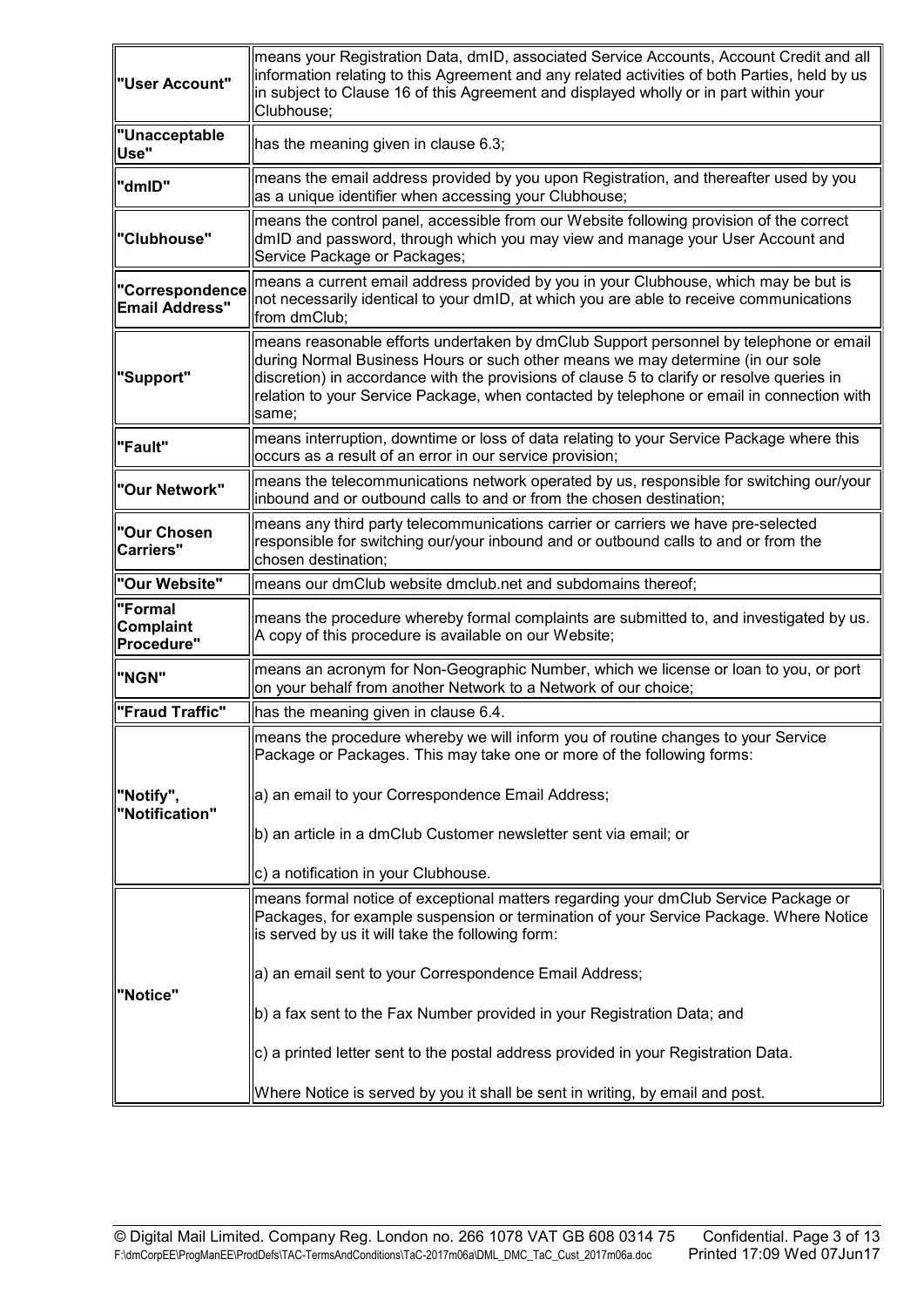| "User Account"                           | means your Registration Data, dmID, associated Service Accounts, Account Credit and all<br>information relating to this Agreement and any related activities of both Parties, held by us<br>in subject to Clause 16 of this Agreement and displayed wholly or in part within your<br>Clubhouse;                                                                             |
|------------------------------------------|-----------------------------------------------------------------------------------------------------------------------------------------------------------------------------------------------------------------------------------------------------------------------------------------------------------------------------------------------------------------------------|
| <b>"Unacceptable</b><br>Use"             | has the meaning given in clause 6.3;                                                                                                                                                                                                                                                                                                                                        |
| "dmID"                                   | means the email address provided by you upon Registration, and thereafter used by you<br>as a unique identifier when accessing your Clubhouse;                                                                                                                                                                                                                              |
| "Clubhouse"                              | means the control panel, accessible from our Website following provision of the correct<br>dmID and password, through which you may view and manage your User Account and<br>Service Package or Packages;                                                                                                                                                                   |
| "Correspondence<br><b>Email Address"</b> | means a current email address provided by you in your Clubhouse, which may be but is<br>not necessarily identical to your dmID, at which you are able to receive communications<br>from dmClub;                                                                                                                                                                             |
| "Support"                                | means reasonable efforts undertaken by dmClub Support personnel by telephone or email<br>during Normal Business Hours or such other means we may determine (in our sole<br>discretion) in accordance with the provisions of clause 5 to clarify or resolve queries in<br>relation to your Service Package, when contacted by telephone or email in connection with<br>same; |
| "Fault"                                  | means interruption, downtime or loss of data relating to your Service Package where this<br>occurs as a result of an error in our service provision;                                                                                                                                                                                                                        |
| "Our Network"                            | means the telecommunications network operated by us, responsible for switching our/your<br>inbound and or outbound calls to and or from the chosen destination;                                                                                                                                                                                                             |
| "Our Chosen<br>Carriers"                 | means any third party telecommunications carrier or carriers we have pre-selected<br>responsible for switching our/your inbound and or outbound calls to and or from the<br>chosen destination;                                                                                                                                                                             |
| "Our Website"                            | means our dmClub website dmclub.net and subdomains thereof;                                                                                                                                                                                                                                                                                                                 |
| "Formal<br>Complaint<br>Procedure"       | means the procedure whereby formal complaints are submitted to, and investigated by us.<br>A copy of this procedure is available on our Website;                                                                                                                                                                                                                            |
| "NGN"                                    | means an acronym for Non-Geographic Number, which we license or loan to you, or port<br>on your behalf from another Network to a Network of our choice;                                                                                                                                                                                                                     |
| "Fraud Traffic"                          | has the meaning given in clause 6.4.                                                                                                                                                                                                                                                                                                                                        |
| "Notify",<br>"Notification"              | means the procedure whereby we will inform you of routine changes to your Service<br>Package or Packages. This may take one or more of the following forms:                                                                                                                                                                                                                 |
|                                          | a) an email to your Correspondence Email Address;<br>b) an article in a dmClub Customer newsletter sent via email; or                                                                                                                                                                                                                                                       |
|                                          | c) a notification in your Clubhouse.                                                                                                                                                                                                                                                                                                                                        |
| "Notice"                                 | means formal notice of exceptional matters regarding your dmClub Service Package or<br>Packages, for example suspension or termination of your Service Package. Where Notice<br>is served by us it will take the following form:                                                                                                                                            |
|                                          | a) an email sent to your Correspondence Email Address;<br>b) a fax sent to the Fax Number provided in your Registration Data; and                                                                                                                                                                                                                                           |
|                                          | c) a printed letter sent to the postal address provided in your Registration Data.                                                                                                                                                                                                                                                                                          |
|                                          | Where Notice is served by you it shall be sent in writing, by email and post.                                                                                                                                                                                                                                                                                               |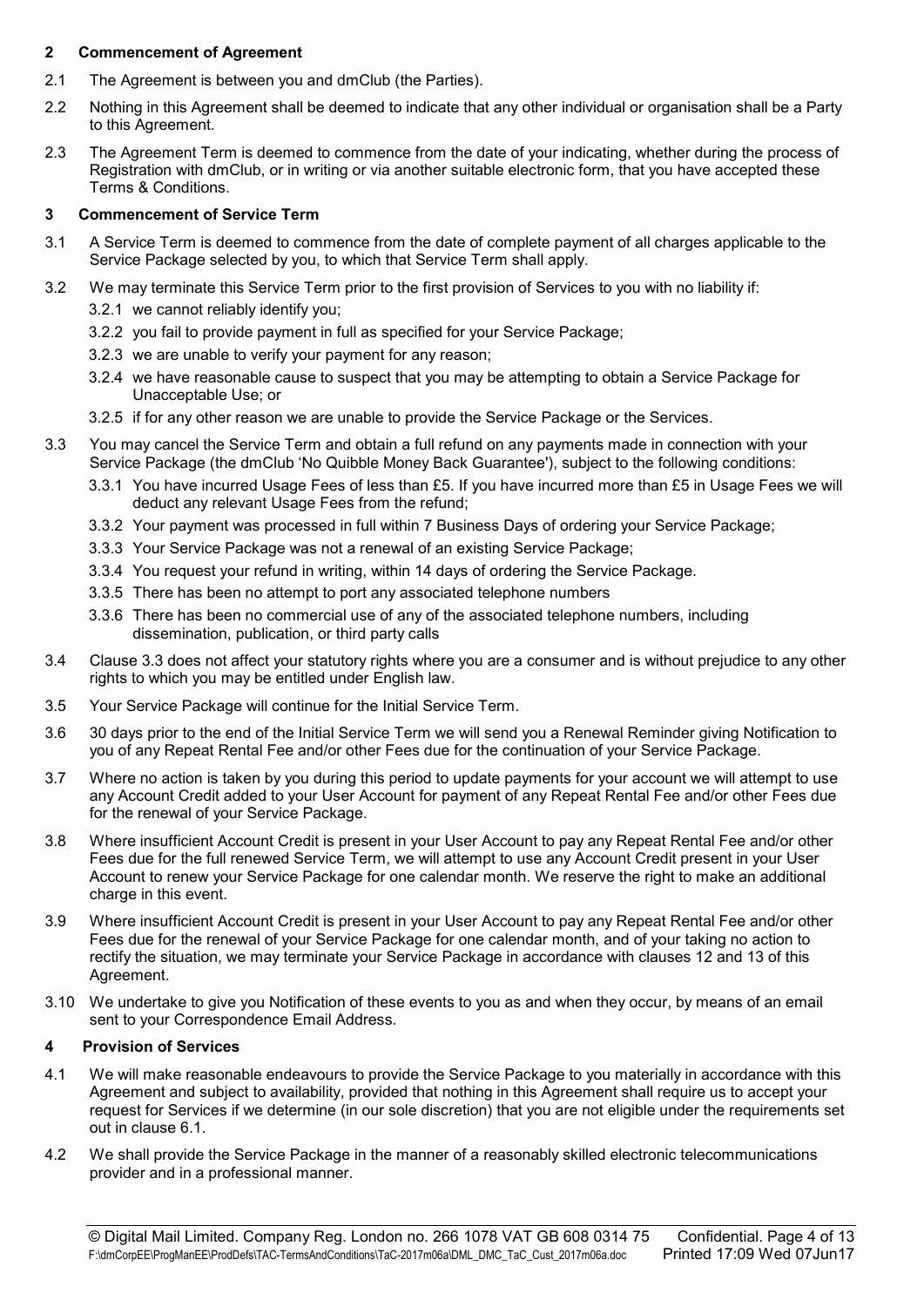## 2 Commencement of Agreement

- 2.1 The Agreement is between you and dmClub (the Parties).
- 2.2 Nothing in this Agreement shall be deemed to indicate that any other individual or organisation shall be a Party to this Agreement.
- 2.3 The Agreement Term is deemed to commence from the date of your indicating, whether during the process of Registration with dmClub, or in writing or via another suitable electronic form, that you have accepted these Terms & Conditions.

# 3 Commencement of Service Term

- 3.1 A Service Term is deemed to commence from the date of complete payment of all charges applicable to the Service Package selected by you, to which that Service Term shall apply.
- 3.2 We may terminate this Service Term prior to the first provision of Services to you with no liability if:
	- 3.2.1 we cannot reliably identify you;
	- 3.2.2 you fail to provide payment in full as specified for your Service Package;
	- 3.2.3 we are unable to verify your payment for any reason;
	- 3.2.4 we have reasonable cause to suspect that you may be attempting to obtain a Service Package for Unacceptable Use; or
	- 3.2.5 if for any other reason we are unable to provide the Service Package or the Services.
- 3.3 You may cancel the Service Term and obtain a full refund on any payments made in connection with your Service Package (the dmClub 'No Quibble Money Back Guarantee'), subject to the following conditions:
	- 3.3.1 You have incurred Usage Fees of less than £5. If you have incurred more than £5 in Usage Fees we will deduct any relevant Usage Fees from the refund;
	- 3.3.2 Your payment was processed in full within 7 Business Days of ordering your Service Package;
	- 3.3.3 Your Service Package was not a renewal of an existing Service Package;
	- 3.3.4 You request your refund in writing, within 14 days of ordering the Service Package.
	- 3.3.5 There has been no attempt to port any associated telephone numbers
	- 3.3.6 There has been no commercial use of any of the associated telephone numbers, including dissemination, publication, or third party calls
- 3.4 Clause 3.3 does not affect your statutory rights where you are a consumer and is without prejudice to any other rights to which you may be entitled under English law.
- 3.5 Your Service Package will continue for the Initial Service Term.
- 3.6 30 days prior to the end of the Initial Service Term we will send you a Renewal Reminder giving Notification to you of any Repeat Rental Fee and/or other Fees due for the continuation of your Service Package.
- 3.7 Where no action is taken by you during this period to update payments for your account we will attempt to use any Account Credit added to your User Account for payment of any Repeat Rental Fee and/or other Fees due for the renewal of your Service Package.
- 3.8 Where insufficient Account Credit is present in your User Account to pay any Repeat Rental Fee and/or other Fees due for the full renewed Service Term, we will attempt to use any Account Credit present in your User Account to renew your Service Package for one calendar month. We reserve the right to make an additional charge in this event.
- 3.9 Where insufficient Account Credit is present in your User Account to pay any Repeat Rental Fee and/or other Fees due for the renewal of your Service Package for one calendar month, and of your taking no action to rectify the situation, we may terminate your Service Package in accordance with clauses 12 and 13 of this Agreement.
- 3.10 We undertake to give you Notification of these events to you as and when they occur, by means of an email sent to your Correspondence Email Address.

# 4 Provision of Services

- 4.1 We will make reasonable endeavours to provide the Service Package to you materially in accordance with this Agreement and subject to availability, provided that nothing in this Agreement shall require us to accept your request for Services if we determine (in our sole discretion) that you are not eligible under the requirements set out in clause 6.1.
- 4.2 We shall provide the Service Package in the manner of a reasonably skilled electronic telecommunications provider and in a professional manner.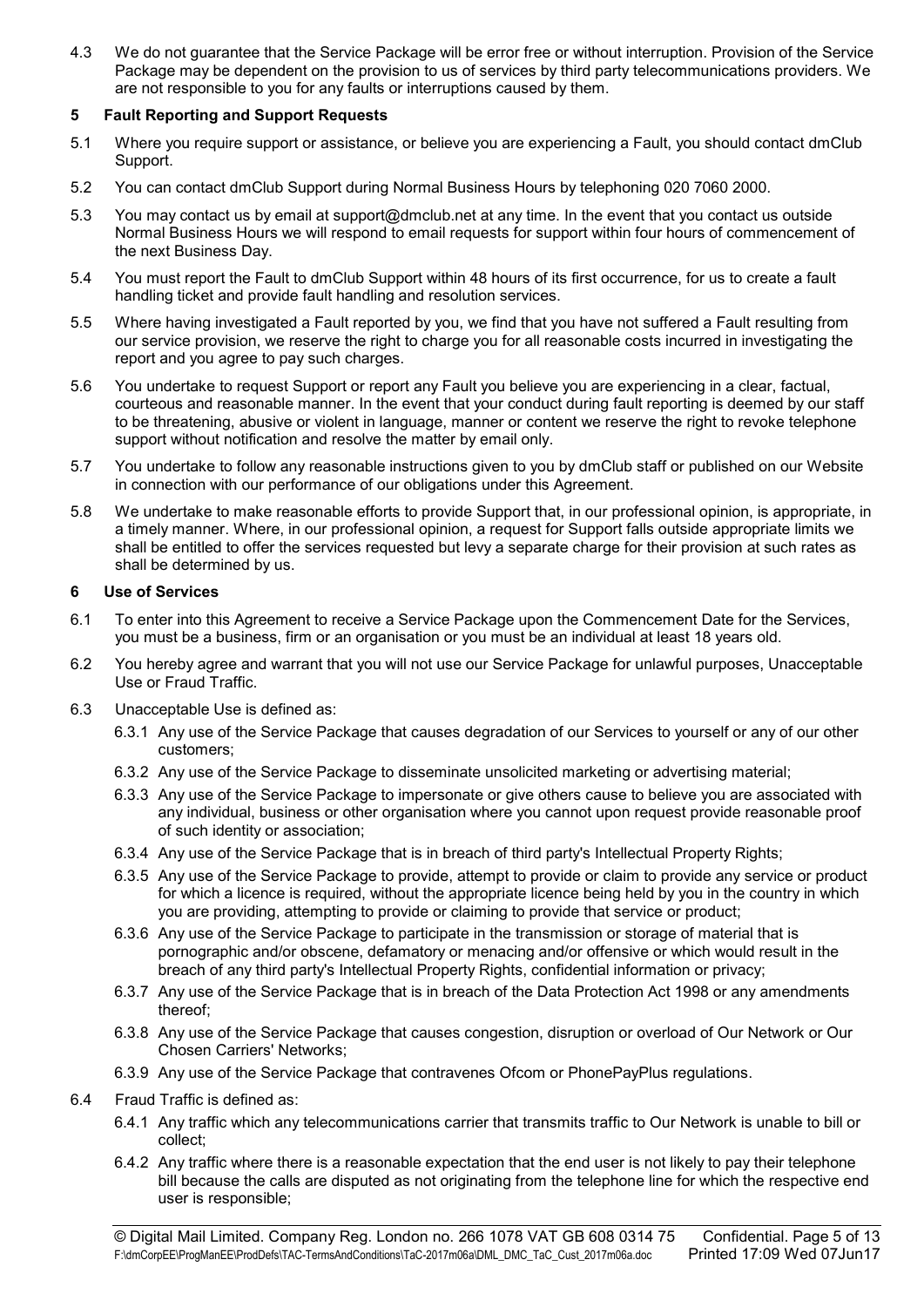4.3 We do not guarantee that the Service Package will be error free or without interruption. Provision of the Service Package may be dependent on the provision to us of services by third party telecommunications providers. We are not responsible to you for any faults or interruptions caused by them.

# 5 Fault Reporting and Support Requests

- 5.1 Where you require support or assistance, or believe you are experiencing a Fault, you should contact dmClub Support.
- 5.2 You can contact dmClub Support during Normal Business Hours by telephoning 020 7060 2000.
- 5.3 You may contact us by email at support@dmclub.net at any time. In the event that you contact us outside Normal Business Hours we will respond to email requests for support within four hours of commencement of the next Business Day.
- 5.4 You must report the Fault to dmClub Support within 48 hours of its first occurrence, for us to create a fault handling ticket and provide fault handling and resolution services.
- 5.5 Where having investigated a Fault reported by you, we find that you have not suffered a Fault resulting from our service provision, we reserve the right to charge you for all reasonable costs incurred in investigating the report and you agree to pay such charges.
- 5.6 You undertake to request Support or report any Fault you believe you are experiencing in a clear, factual, courteous and reasonable manner. In the event that your conduct during fault reporting is deemed by our staff to be threatening, abusive or violent in language, manner or content we reserve the right to revoke telephone support without notification and resolve the matter by email only.
- 5.7 You undertake to follow any reasonable instructions given to you by dmClub staff or published on our Website in connection with our performance of our obligations under this Agreement.
- 5.8 We undertake to make reasonable efforts to provide Support that, in our professional opinion, is appropriate, in a timely manner. Where, in our professional opinion, a request for Support falls outside appropriate limits we shall be entitled to offer the services requested but levy a separate charge for their provision at such rates as shall be determined by us.

#### 6 Use of Services

- 6.1 To enter into this Agreement to receive a Service Package upon the Commencement Date for the Services, you must be a business, firm or an organisation or you must be an individual at least 18 years old.
- 6.2 You hereby agree and warrant that you will not use our Service Package for unlawful purposes, Unacceptable Use or Fraud Traffic.
- 6.3 Unacceptable Use is defined as:
	- 6.3.1 Any use of the Service Package that causes degradation of our Services to yourself or any of our other customers;
	- 6.3.2 Any use of the Service Package to disseminate unsolicited marketing or advertising material;
	- 6.3.3 Any use of the Service Package to impersonate or give others cause to believe you are associated with any individual, business or other organisation where you cannot upon request provide reasonable proof of such identity or association;
	- 6.3.4 Any use of the Service Package that is in breach of third party's Intellectual Property Rights;
	- 6.3.5 Any use of the Service Package to provide, attempt to provide or claim to provide any service or product for which a licence is required, without the appropriate licence being held by you in the country in which you are providing, attempting to provide or claiming to provide that service or product;
	- 6.3.6 Any use of the Service Package to participate in the transmission or storage of material that is pornographic and/or obscene, defamatory or menacing and/or offensive or which would result in the breach of any third party's Intellectual Property Rights, confidential information or privacy;
	- 6.3.7 Any use of the Service Package that is in breach of the Data Protection Act 1998 or any amendments thereof;
	- 6.3.8 Any use of the Service Package that causes congestion, disruption or overload of Our Network or Our Chosen Carriers' Networks;
	- 6.3.9 Any use of the Service Package that contravenes Ofcom or PhonePayPlus regulations.
- 6.4 Fraud Traffic is defined as:
	- 6.4.1 Any traffic which any telecommunications carrier that transmits traffic to Our Network is unable to bill or collect;
	- 6.4.2 Any traffic where there is a reasonable expectation that the end user is not likely to pay their telephone bill because the calls are disputed as not originating from the telephone line for which the respective end user is responsible;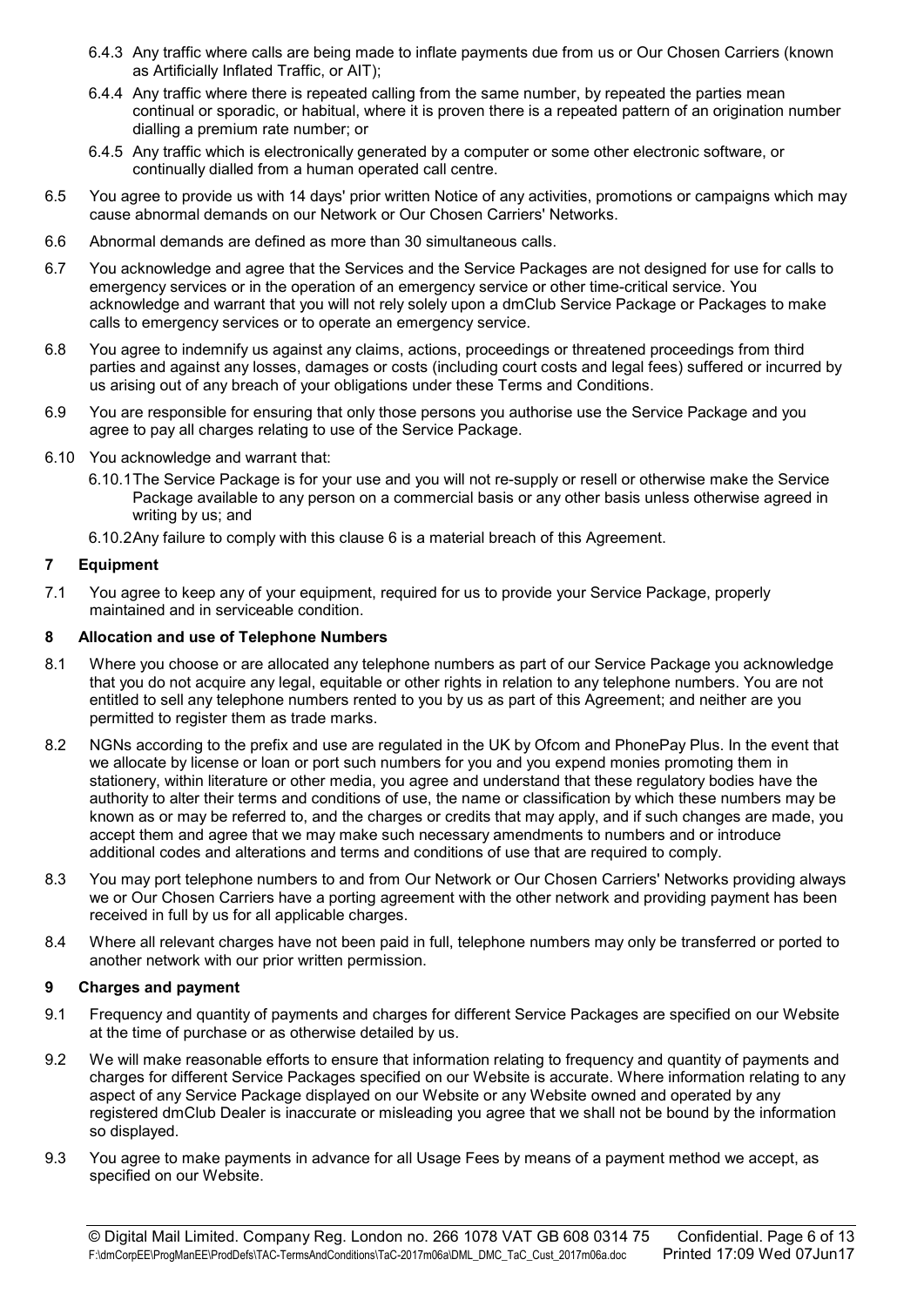- 6.4.3 Any traffic where calls are being made to inflate payments due from us or Our Chosen Carriers (known as Artificially Inflated Traffic, or AIT);
- 6.4.4 Any traffic where there is repeated calling from the same number, by repeated the parties mean continual or sporadic, or habitual, where it is proven there is a repeated pattern of an origination number dialling a premium rate number; or
- 6.4.5 Any traffic which is electronically generated by a computer or some other electronic software, or continually dialled from a human operated call centre.
- 6.5 You agree to provide us with 14 days' prior written Notice of any activities, promotions or campaigns which may cause abnormal demands on our Network or Our Chosen Carriers' Networks.
- 6.6 Abnormal demands are defined as more than 30 simultaneous calls.
- 6.7 You acknowledge and agree that the Services and the Service Packages are not designed for use for calls to emergency services or in the operation of an emergency service or other time-critical service. You acknowledge and warrant that you will not rely solely upon a dmClub Service Package or Packages to make calls to emergency services or to operate an emergency service.
- 6.8 You agree to indemnify us against any claims, actions, proceedings or threatened proceedings from third parties and against any losses, damages or costs (including court costs and legal fees) suffered or incurred by us arising out of any breach of your obligations under these Terms and Conditions.
- 6.9 You are responsible for ensuring that only those persons you authorise use the Service Package and you agree to pay all charges relating to use of the Service Package.
- 6.10 You acknowledge and warrant that:
	- 6.10.1 The Service Package is for your use and you will not re-supply or resell or otherwise make the Service Package available to any person on a commercial basis or any other basis unless otherwise agreed in writing by us; and
	- 6.10.2 Any failure to comply with this clause 6 is a material breach of this Agreement.

#### 7 Equipment

7.1 You agree to keep any of your equipment, required for us to provide your Service Package, properly maintained and in serviceable condition.

#### 8 Allocation and use of Telephone Numbers

- 8.1 Where you choose or are allocated any telephone numbers as part of our Service Package you acknowledge that you do not acquire any legal, equitable or other rights in relation to any telephone numbers. You are not entitled to sell any telephone numbers rented to you by us as part of this Agreement; and neither are you permitted to register them as trade marks.
- 8.2 NGNs according to the prefix and use are regulated in the UK by Ofcom and PhonePay Plus. In the event that we allocate by license or loan or port such numbers for you and you expend monies promoting them in stationery, within literature or other media, you agree and understand that these regulatory bodies have the authority to alter their terms and conditions of use, the name or classification by which these numbers may be known as or may be referred to, and the charges or credits that may apply, and if such changes are made, you accept them and agree that we may make such necessary amendments to numbers and or introduce additional codes and alterations and terms and conditions of use that are required to comply.
- 8.3 You may port telephone numbers to and from Our Network or Our Chosen Carriers' Networks providing always we or Our Chosen Carriers have a porting agreement with the other network and providing payment has been received in full by us for all applicable charges.
- 8.4 Where all relevant charges have not been paid in full, telephone numbers may only be transferred or ported to another network with our prior written permission.

## 9 Charges and payment

- 9.1 Frequency and quantity of payments and charges for different Service Packages are specified on our Website at the time of purchase or as otherwise detailed by us.
- 9.2 We will make reasonable efforts to ensure that information relating to frequency and quantity of payments and charges for different Service Packages specified on our Website is accurate. Where information relating to any aspect of any Service Package displayed on our Website or any Website owned and operated by any registered dmClub Dealer is inaccurate or misleading you agree that we shall not be bound by the information so displayed.
- 9.3 You agree to make payments in advance for all Usage Fees by means of a payment method we accept, as specified on our Website.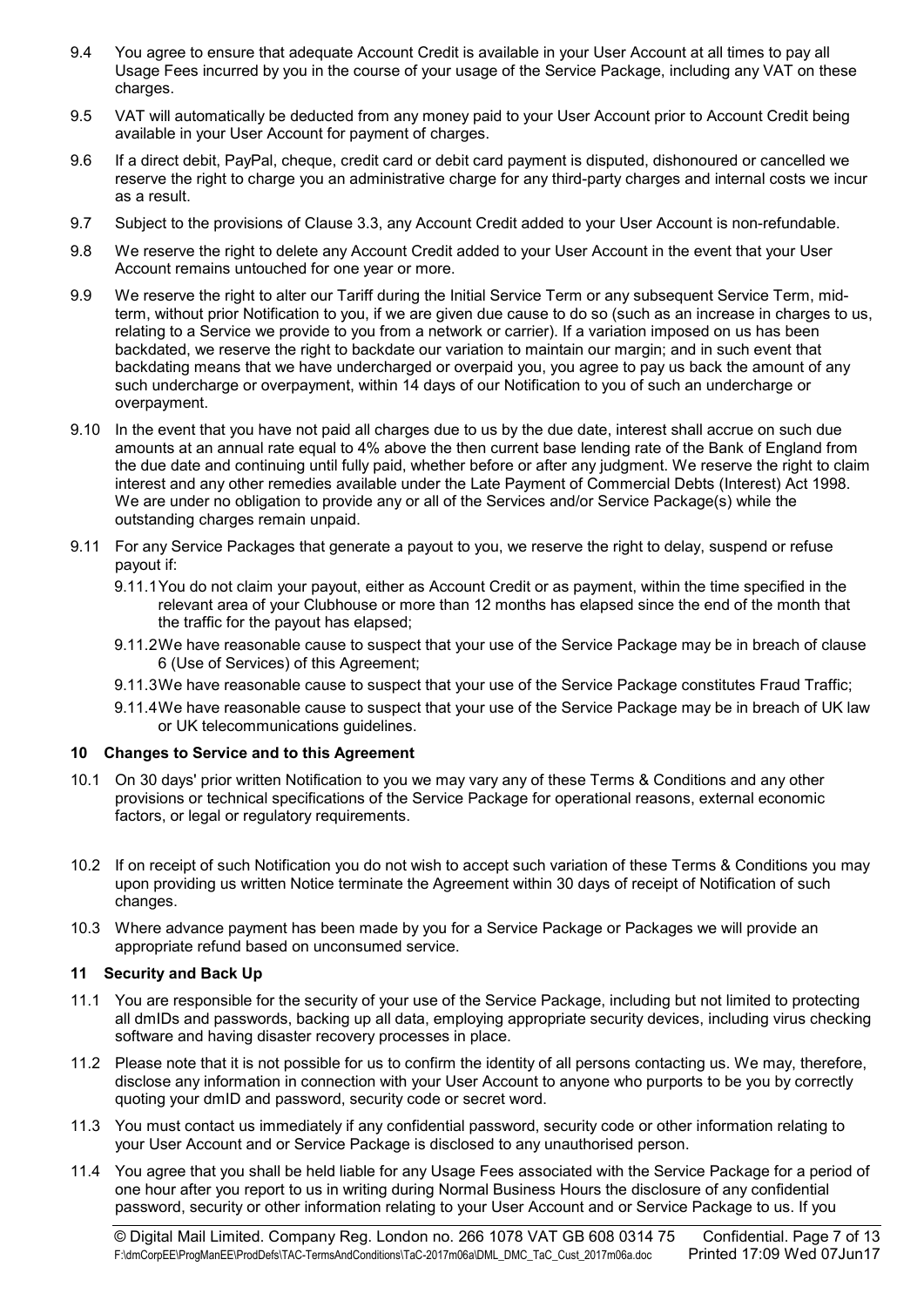- 9.4 You agree to ensure that adequate Account Credit is available in your User Account at all times to pay all Usage Fees incurred by you in the course of your usage of the Service Package, including any VAT on these charges.
- 9.5 VAT will automatically be deducted from any money paid to your User Account prior to Account Credit being available in your User Account for payment of charges.
- 9.6 If a direct debit, PayPal, cheque, credit card or debit card payment is disputed, dishonoured or cancelled we reserve the right to charge you an administrative charge for any third-party charges and internal costs we incur as a result.
- 9.7 Subject to the provisions of Clause 3.3, any Account Credit added to your User Account is non-refundable.
- 9.8 We reserve the right to delete any Account Credit added to your User Account in the event that your User Account remains untouched for one year or more.
- 9.9 We reserve the right to alter our Tariff during the Initial Service Term or any subsequent Service Term, midterm, without prior Notification to you, if we are given due cause to do so (such as an increase in charges to us, relating to a Service we provide to you from a network or carrier). If a variation imposed on us has been backdated, we reserve the right to backdate our variation to maintain our margin; and in such event that backdating means that we have undercharged or overpaid you, you agree to pay us back the amount of any such undercharge or overpayment, within 14 days of our Notification to you of such an undercharge or overpayment.
- 9.10 In the event that you have not paid all charges due to us by the due date, interest shall accrue on such due amounts at an annual rate equal to 4% above the then current base lending rate of the Bank of England from the due date and continuing until fully paid, whether before or after any judgment. We reserve the right to claim interest and any other remedies available under the Late Payment of Commercial Debts (Interest) Act 1998. We are under no obligation to provide any or all of the Services and/or Service Package(s) while the outstanding charges remain unpaid.
- 9.11 For any Service Packages that generate a payout to you, we reserve the right to delay, suspend or refuse payout if:
	- 9.11.1 You do not claim your payout, either as Account Credit or as payment, within the time specified in the relevant area of your Clubhouse or more than 12 months has elapsed since the end of the month that the traffic for the payout has elapsed;
	- 9.11.2 We have reasonable cause to suspect that your use of the Service Package may be in breach of clause 6 (Use of Services) of this Agreement;
	- 9.11.3 We have reasonable cause to suspect that your use of the Service Package constitutes Fraud Traffic;
	- 9.11.4 We have reasonable cause to suspect that your use of the Service Package may be in breach of UK law or UK telecommunications guidelines.

## 10 Changes to Service and to this Agreement

- 10.1 On 30 days' prior written Notification to you we may vary any of these Terms & Conditions and any other provisions or technical specifications of the Service Package for operational reasons, external economic factors, or legal or regulatory requirements.
- 10.2 If on receipt of such Notification you do not wish to accept such variation of these Terms & Conditions you may upon providing us written Notice terminate the Agreement within 30 days of receipt of Notification of such changes.
- 10.3 Where advance payment has been made by you for a Service Package or Packages we will provide an appropriate refund based on unconsumed service.

## 11 Security and Back Up

- 11.1 You are responsible for the security of your use of the Service Package, including but not limited to protecting all dmIDs and passwords, backing up all data, employing appropriate security devices, including virus checking software and having disaster recovery processes in place.
- 11.2 Please note that it is not possible for us to confirm the identity of all persons contacting us. We may, therefore, disclose any information in connection with your User Account to anyone who purports to be you by correctly quoting your dmID and password, security code or secret word.
- 11.3 You must contact us immediately if any confidential password, security code or other information relating to your User Account and or Service Package is disclosed to any unauthorised person.
- 11.4 You agree that you shall be held liable for any Usage Fees associated with the Service Package for a period of one hour after you report to us in writing during Normal Business Hours the disclosure of any confidential password, security or other information relating to your User Account and or Service Package to us. If you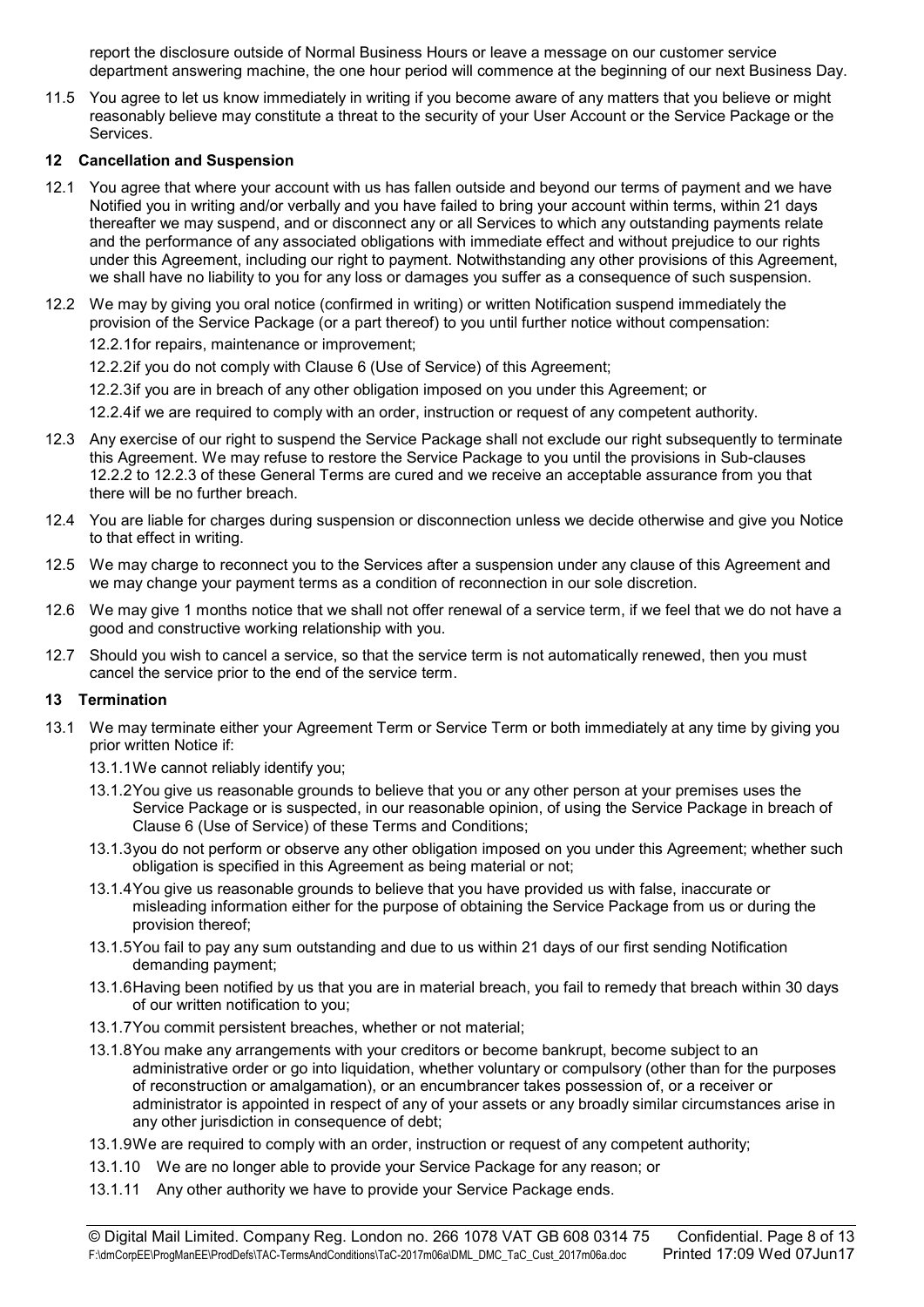report the disclosure outside of Normal Business Hours or leave a message on our customer service department answering machine, the one hour period will commence at the beginning of our next Business Day.

11.5 You agree to let us know immediately in writing if you become aware of any matters that you believe or might reasonably believe may constitute a threat to the security of your User Account or the Service Package or the Services.

# 12 Cancellation and Suspension

- 12.1 You agree that where your account with us has fallen outside and beyond our terms of payment and we have Notified you in writing and/or verbally and you have failed to bring your account within terms, within 21 days thereafter we may suspend, and or disconnect any or all Services to which any outstanding payments relate and the performance of any associated obligations with immediate effect and without prejudice to our rights under this Agreement, including our right to payment. Notwithstanding any other provisions of this Agreement, we shall have no liability to you for any loss or damages you suffer as a consequence of such suspension.
- 12.2 We may by giving you oral notice (confirmed in writing) or written Notification suspend immediately the provision of the Service Package (or a part thereof) to you until further notice without compensation: 12.2.1 for repairs, maintenance or improvement;
	- 12.2.2 if you do not comply with Clause 6 (Use of Service) of this Agreement;
	- 12.2.3 if you are in breach of any other obligation imposed on you under this Agreement; or

12.2.4 if we are required to comply with an order, instruction or request of any competent authority.

- 12.3 Any exercise of our right to suspend the Service Package shall not exclude our right subsequently to terminate this Agreement. We may refuse to restore the Service Package to you until the provisions in Sub-clauses 12.2.2 to 12.2.3 of these General Terms are cured and we receive an acceptable assurance from you that there will be no further breach.
- 12.4 You are liable for charges during suspension or disconnection unless we decide otherwise and give you Notice to that effect in writing.
- 12.5 We may charge to reconnect you to the Services after a suspension under any clause of this Agreement and we may change your payment terms as a condition of reconnection in our sole discretion.
- 12.6 We may give 1 months notice that we shall not offer renewal of a service term, if we feel that we do not have a good and constructive working relationship with you.
- 12.7 Should you wish to cancel a service, so that the service term is not automatically renewed, then you must cancel the service prior to the end of the service term.

## 13 Termination

- 13.1 We may terminate either your Agreement Term or Service Term or both immediately at any time by giving you prior written Notice if:
	- 13.1.1 We cannot reliably identify you;
	- 13.1.2 You give us reasonable grounds to believe that you or any other person at your premises uses the Service Package or is suspected, in our reasonable opinion, of using the Service Package in breach of Clause 6 (Use of Service) of these Terms and Conditions;
	- 13.1.3 you do not perform or observe any other obligation imposed on you under this Agreement; whether such obligation is specified in this Agreement as being material or not;
	- 13.1.4 You give us reasonable grounds to believe that you have provided us with false, inaccurate or misleading information either for the purpose of obtaining the Service Package from us or during the provision thereof;
	- 13.1.5 You fail to pay any sum outstanding and due to us within 21 days of our first sending Notification demanding payment;
	- 13.1.6 Having been notified by us that you are in material breach, you fail to remedy that breach within 30 days of our written notification to you;
	- 13.1.7 You commit persistent breaches, whether or not material;
	- 13.1.8 You make any arrangements with your creditors or become bankrupt, become subject to an administrative order or go into liquidation, whether voluntary or compulsory (other than for the purposes of reconstruction or amalgamation), or an encumbrancer takes possession of, or a receiver or administrator is appointed in respect of any of your assets or any broadly similar circumstances arise in any other jurisdiction in consequence of debt;
	- 13.1.9 We are required to comply with an order, instruction or request of any competent authority;
	- 13.1.10 We are no longer able to provide your Service Package for any reason; or
	- 13.1.11 Any other authority we have to provide your Service Package ends.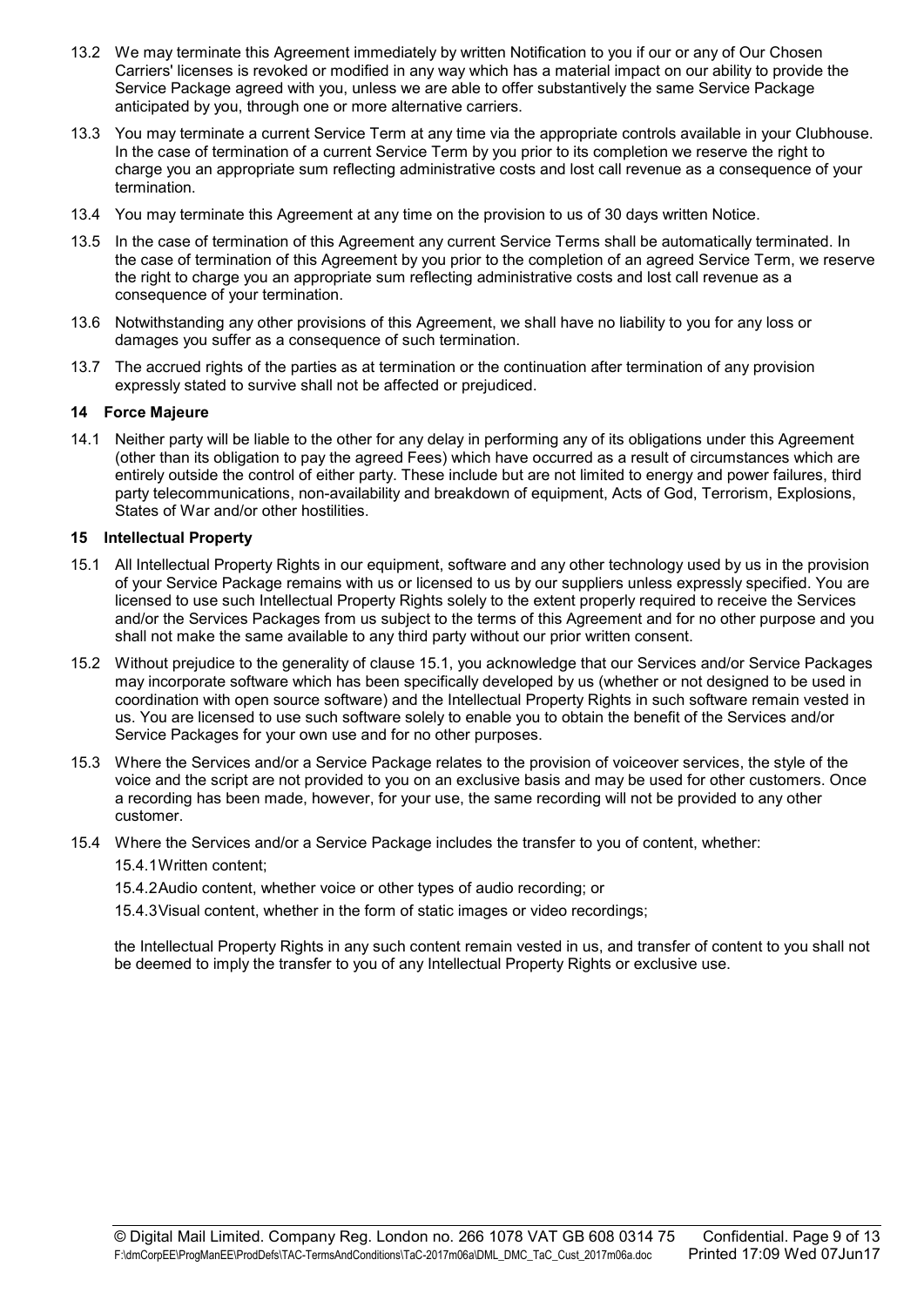- 13.2 We may terminate this Agreement immediately by written Notification to you if our or any of Our Chosen Carriers' licenses is revoked or modified in any way which has a material impact on our ability to provide the Service Package agreed with you, unless we are able to offer substantively the same Service Package anticipated by you, through one or more alternative carriers.
- 13.3 You may terminate a current Service Term at any time via the appropriate controls available in your Clubhouse. In the case of termination of a current Service Term by you prior to its completion we reserve the right to charge you an appropriate sum reflecting administrative costs and lost call revenue as a consequence of your termination.
- 13.4 You may terminate this Agreement at any time on the provision to us of 30 days written Notice.
- 13.5 In the case of termination of this Agreement any current Service Terms shall be automatically terminated. In the case of termination of this Agreement by you prior to the completion of an agreed Service Term, we reserve the right to charge you an appropriate sum reflecting administrative costs and lost call revenue as a consequence of your termination.
- 13.6 Notwithstanding any other provisions of this Agreement, we shall have no liability to you for any loss or damages you suffer as a consequence of such termination.
- 13.7 The accrued rights of the parties as at termination or the continuation after termination of any provision expressly stated to survive shall not be affected or prejudiced.

#### 14 Force Majeure

14.1 Neither party will be liable to the other for any delay in performing any of its obligations under this Agreement (other than its obligation to pay the agreed Fees) which have occurred as a result of circumstances which are entirely outside the control of either party. These include but are not limited to energy and power failures, third party telecommunications, non-availability and breakdown of equipment, Acts of God, Terrorism, Explosions, States of War and/or other hostilities.

#### 15 Intellectual Property

- 15.1 All Intellectual Property Rights in our equipment, software and any other technology used by us in the provision of your Service Package remains with us or licensed to us by our suppliers unless expressly specified. You are licensed to use such Intellectual Property Rights solely to the extent properly required to receive the Services and/or the Services Packages from us subject to the terms of this Agreement and for no other purpose and you shall not make the same available to any third party without our prior written consent.
- 15.2 Without prejudice to the generality of clause 15.1, you acknowledge that our Services and/or Service Packages may incorporate software which has been specifically developed by us (whether or not designed to be used in coordination with open source software) and the Intellectual Property Rights in such software remain vested in us. You are licensed to use such software solely to enable you to obtain the benefit of the Services and/or Service Packages for your own use and for no other purposes.
- 15.3 Where the Services and/or a Service Package relates to the provision of voiceover services, the style of the voice and the script are not provided to you on an exclusive basis and may be used for other customers. Once a recording has been made, however, for your use, the same recording will not be provided to any other customer.
- 15.4 Where the Services and/or a Service Package includes the transfer to you of content, whether: 15.4.1 Written content;

15.4.2 Audio content, whether voice or other types of audio recording; or

15.4.3 Visual content, whether in the form of static images or video recordings;

the Intellectual Property Rights in any such content remain vested in us, and transfer of content to you shall not be deemed to imply the transfer to you of any Intellectual Property Rights or exclusive use.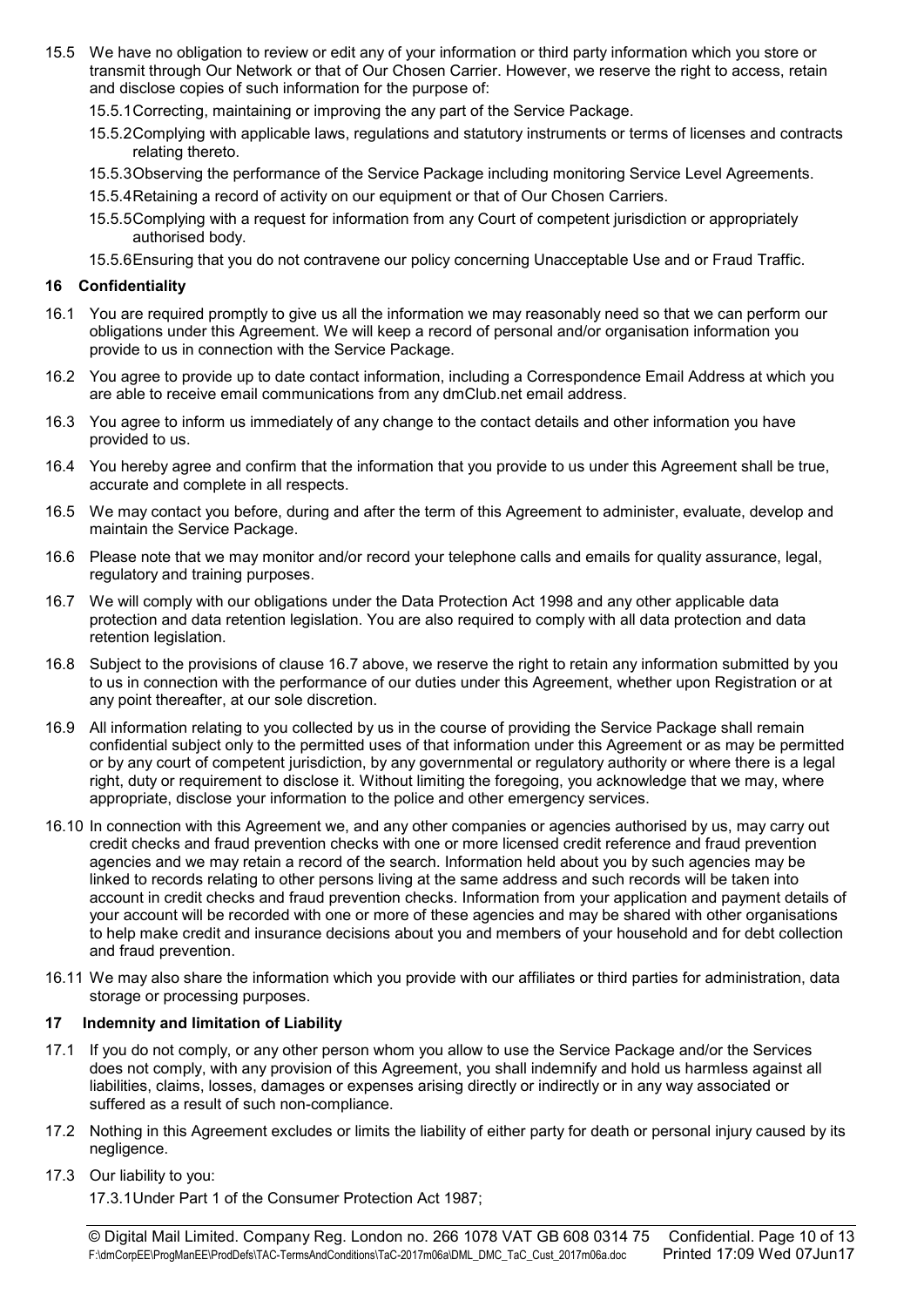- 15.5 We have no obligation to review or edit any of your information or third party information which you store or transmit through Our Network or that of Our Chosen Carrier. However, we reserve the right to access, retain and disclose copies of such information for the purpose of:
	- 15.5.1 Correcting, maintaining or improving the any part of the Service Package.
	- 15.5.2 Complying with applicable laws, regulations and statutory instruments or terms of licenses and contracts relating thereto.
	- 15.5.3 Observing the performance of the Service Package including monitoring Service Level Agreements.
	- 15.5.4 Retaining a record of activity on our equipment or that of Our Chosen Carriers.
	- 15.5.5 Complying with a request for information from any Court of competent jurisdiction or appropriately authorised body.
	- 15.5.6 Ensuring that you do not contravene our policy concerning Unacceptable Use and or Fraud Traffic.

#### 16 Confidentiality

- 16.1 You are required promptly to give us all the information we may reasonably need so that we can perform our obligations under this Agreement. We will keep a record of personal and/or organisation information you provide to us in connection with the Service Package.
- 16.2 You agree to provide up to date contact information, including a Correspondence Email Address at which you are able to receive email communications from any dmClub.net email address.
- 16.3 You agree to inform us immediately of any change to the contact details and other information you have provided to us.
- 16.4 You hereby agree and confirm that the information that you provide to us under this Agreement shall be true, accurate and complete in all respects.
- 16.5 We may contact you before, during and after the term of this Agreement to administer, evaluate, develop and maintain the Service Package.
- 16.6 Please note that we may monitor and/or record your telephone calls and emails for quality assurance, legal, regulatory and training purposes.
- 16.7 We will comply with our obligations under the Data Protection Act 1998 and any other applicable data protection and data retention legislation. You are also required to comply with all data protection and data retention legislation.
- 16.8 Subject to the provisions of clause 16.7 above, we reserve the right to retain any information submitted by you to us in connection with the performance of our duties under this Agreement, whether upon Registration or at any point thereafter, at our sole discretion.
- 16.9 All information relating to you collected by us in the course of providing the Service Package shall remain confidential subject only to the permitted uses of that information under this Agreement or as may be permitted or by any court of competent jurisdiction, by any governmental or regulatory authority or where there is a legal right, duty or requirement to disclose it. Without limiting the foregoing, you acknowledge that we may, where appropriate, disclose your information to the police and other emergency services.
- 16.10 In connection with this Agreement we, and any other companies or agencies authorised by us, may carry out credit checks and fraud prevention checks with one or more licensed credit reference and fraud prevention agencies and we may retain a record of the search. Information held about you by such agencies may be linked to records relating to other persons living at the same address and such records will be taken into account in credit checks and fraud prevention checks. Information from your application and payment details of your account will be recorded with one or more of these agencies and may be shared with other organisations to help make credit and insurance decisions about you and members of your household and for debt collection and fraud prevention.
- 16.11 We may also share the information which you provide with our affiliates or third parties for administration, data storage or processing purposes.

## 17 Indemnity and limitation of Liability

- 17.1 If you do not comply, or any other person whom you allow to use the Service Package and/or the Services does not comply, with any provision of this Agreement, you shall indemnify and hold us harmless against all liabilities, claims, losses, damages or expenses arising directly or indirectly or in any way associated or suffered as a result of such non-compliance.
- 17.2 Nothing in this Agreement excludes or limits the liability of either party for death or personal injury caused by its negligence.
- 17.3 Our liability to you:

17.3.1 Under Part 1 of the Consumer Protection Act 1987;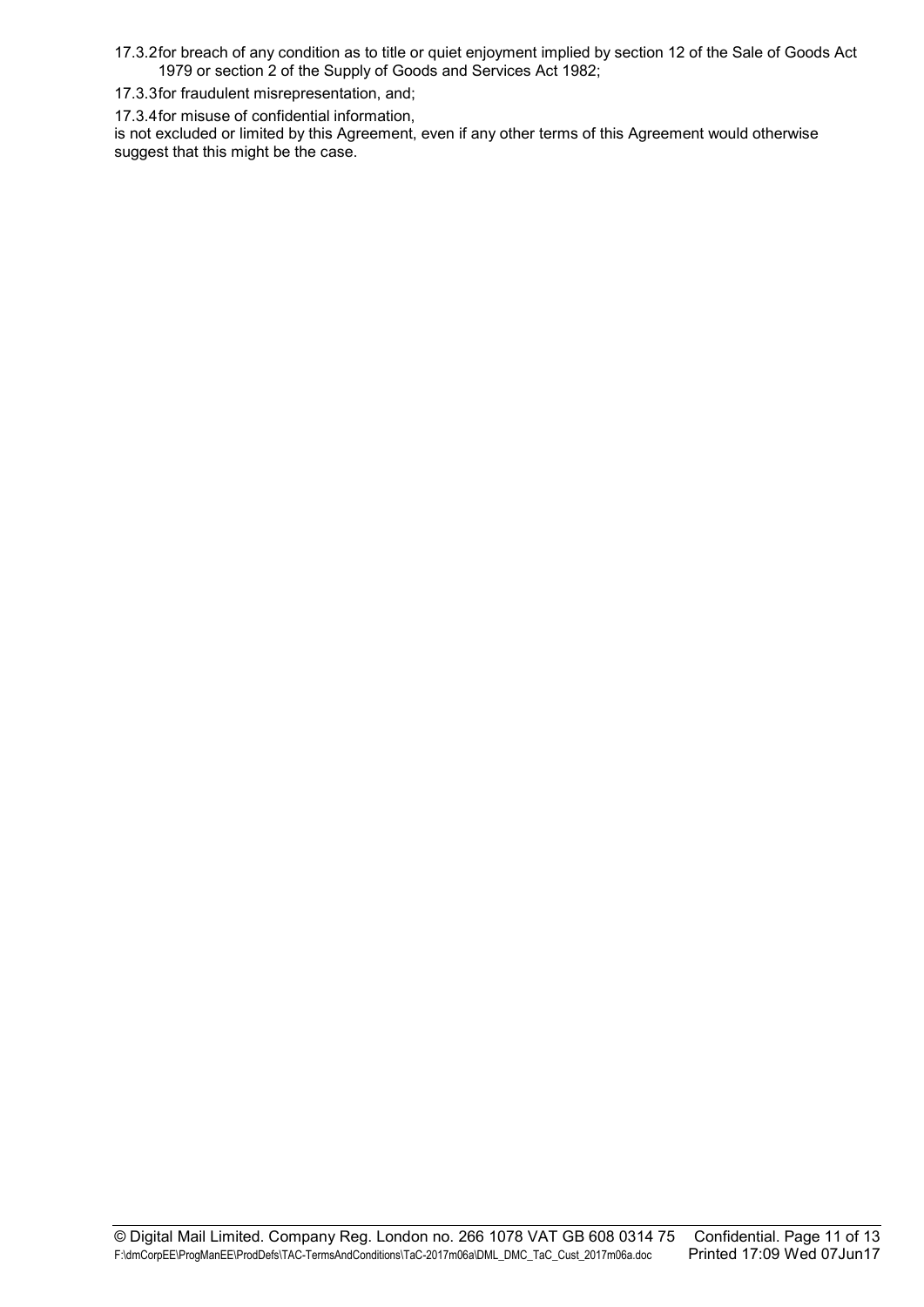17.3.2 for breach of any condition as to title or quiet enjoyment implied by section 12 of the Sale of Goods Act 1979 or section 2 of the Supply of Goods and Services Act 1982;

17.3.3 for fraudulent misrepresentation, and;

17.3.4 for misuse of confidential information,

is not excluded or limited by this Agreement, even if any other terms of this Agreement would otherwise suggest that this might be the case.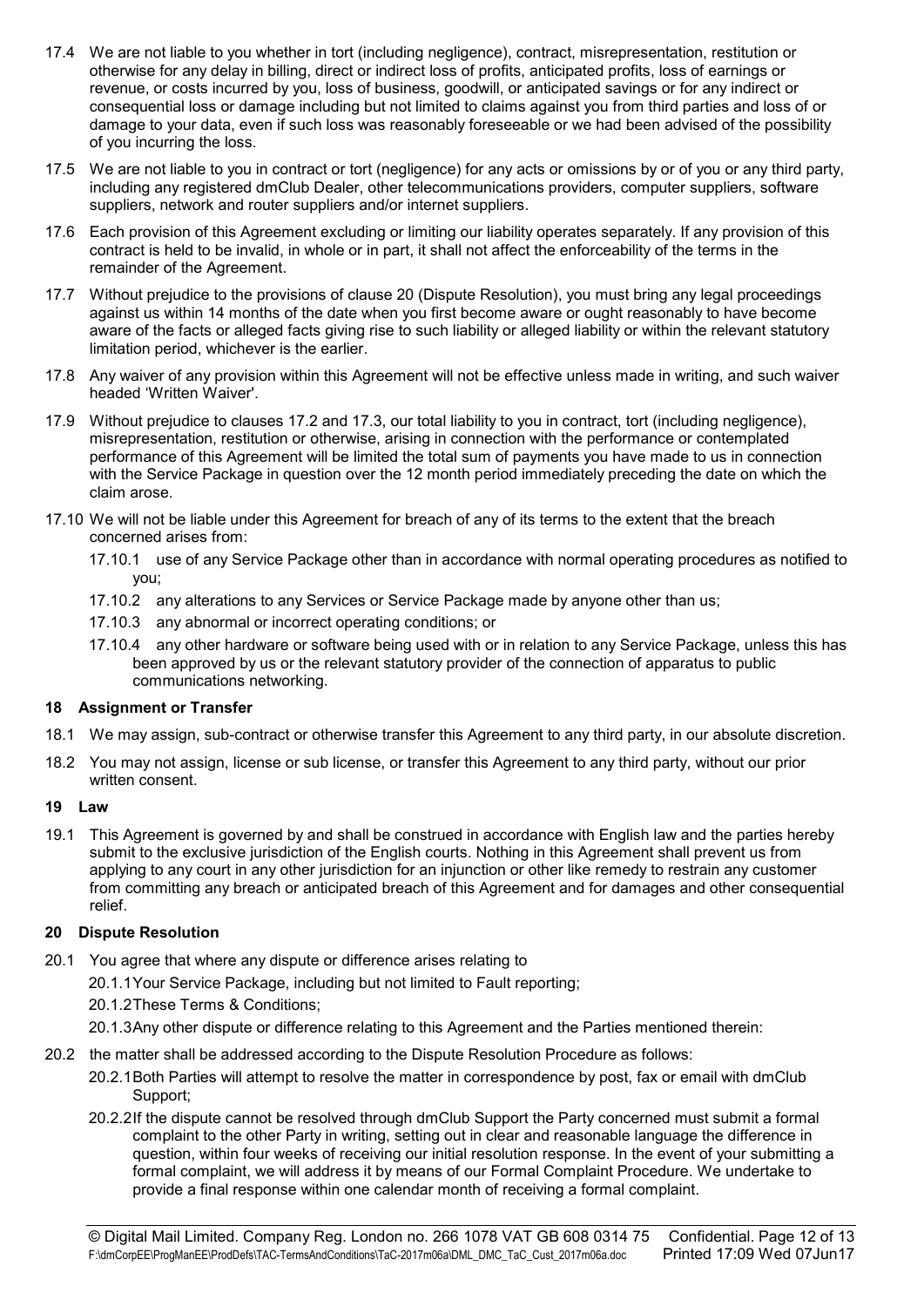- 17.4 We are not liable to you whether in tort (including negligence), contract, misrepresentation, restitution or otherwise for any delay in billing, direct or indirect loss of profits, anticipated profits, loss of earnings or revenue, or costs incurred by you, loss of business, goodwill, or anticipated savings or for any indirect or consequential loss or damage including but not limited to claims against you from third parties and loss of or damage to your data, even if such loss was reasonably foreseeable or we had been advised of the possibility of you incurring the loss.
- 17.5 We are not liable to you in contract or tort (negligence) for any acts or omissions by or of you or any third party, including any registered dmClub Dealer, other telecommunications providers, computer suppliers, software suppliers, network and router suppliers and/or internet suppliers.
- 17.6 Each provision of this Agreement excluding or limiting our liability operates separately. If any provision of this contract is held to be invalid, in whole or in part, it shall not affect the enforceability of the terms in the remainder of the Agreement.
- 17.7 Without prejudice to the provisions of clause 20 (Dispute Resolution), you must bring any legal proceedings against us within 14 months of the date when you first become aware or ought reasonably to have become aware of the facts or alleged facts giving rise to such liability or alleged liability or within the relevant statutory limitation period, whichever is the earlier.
- 17.8 Any waiver of any provision within this Agreement will not be effective unless made in writing, and such waiver headed 'Written Waiver'.
- 17.9 Without prejudice to clauses 17.2 and 17.3, our total liability to you in contract, tort (including negligence), misrepresentation, restitution or otherwise, arising in connection with the performance or contemplated performance of this Agreement will be limited the total sum of payments you have made to us in connection with the Service Package in question over the 12 month period immediately preceding the date on which the claim arose.
- 17.10 We will not be liable under this Agreement for breach of any of its terms to the extent that the breach concerned arises from:
	- 17.10.1 use of any Service Package other than in accordance with normal operating procedures as notified to you;
	- 17.10.2 any alterations to any Services or Service Package made by anyone other than us;
	- 17.10.3 any abnormal or incorrect operating conditions; or
	- 17.10.4 any other hardware or software being used with or in relation to any Service Package, unless this has been approved by us or the relevant statutory provider of the connection of apparatus to public communications networking.

## 18 Assignment or Transfer

- 18.1 We may assign, sub-contract or otherwise transfer this Agreement to any third party, in our absolute discretion.
- 18.2 You may not assign, license or sub license, or transfer this Agreement to any third party, without our prior written consent.

## 19 Law

19.1 This Agreement is governed by and shall be construed in accordance with English law and the parties hereby submit to the exclusive jurisdiction of the English courts. Nothing in this Agreement shall prevent us from applying to any court in any other jurisdiction for an injunction or other like remedy to restrain any customer from committing any breach or anticipated breach of this Agreement and for damages and other consequential relief.

## 20 Dispute Resolution

- 20.1 You agree that where any dispute or difference arises relating to
	- 20.1.1 Your Service Package, including but not limited to Fault reporting;
	- 20.1.2 These Terms & Conditions;
	- 20.1.3 Any other dispute or difference relating to this Agreement and the Parties mentioned therein:
- 20.2 the matter shall be addressed according to the Dispute Resolution Procedure as follows:
	- 20.2.1 Both Parties will attempt to resolve the matter in correspondence by post, fax or email with dmClub Support;
	- 20.2.2 If the dispute cannot be resolved through dmClub Support the Party concerned must submit a formal complaint to the other Party in writing, setting out in clear and reasonable language the difference in question, within four weeks of receiving our initial resolution response. In the event of your submitting a formal complaint, we will address it by means of our Formal Complaint Procedure. We undertake to provide a final response within one calendar month of receiving a formal complaint.